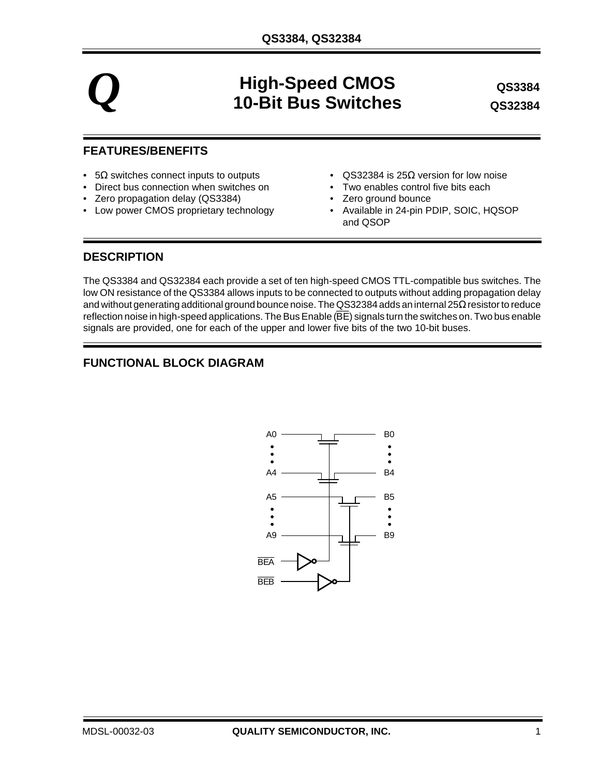# $Q$  **High-Speed CMOS Algonia CMOS COS Algonia CMOS COS COS COS COS COS COS COS COS COS COS 10-Bit Bus Switches**

**QS32383 QS32384 QS3384**

### **FEATURES/BENEFITS**

- $5\Omega$  switches connect inputs to outputs QS32384 is 25 $\Omega$  version for low noise
- Direct bus connection when switches on Two enables control five bits each
- Zero propagation delay (QS3384) Zero ground bounce
- Low power CMOS proprietary technology Available in 24-pin PDIP, SOIC, HQSOP
- 
- 
- - and QSOP

#### **DESCRIPTION**

The QS3384 and QS32384 each provide a set of ten high-speed CMOS TTL-compatible bus switches. The low ON resistance of the QS3384 allows inputs to be connected to outputs without adding propagation delay and without generating additional ground bounce noise. The QS32384 adds an internal 25Ω resistor to reduce reflection noise in high-speed applications. The Bus Enable ( $\overline{BE}$ ) signals turn the switches on. Two bus enable signals are provided, one for each of the upper and lower five bits of the two 10-bit buses.

# **FUNCTIONAL BLOCK DIAGRAM**

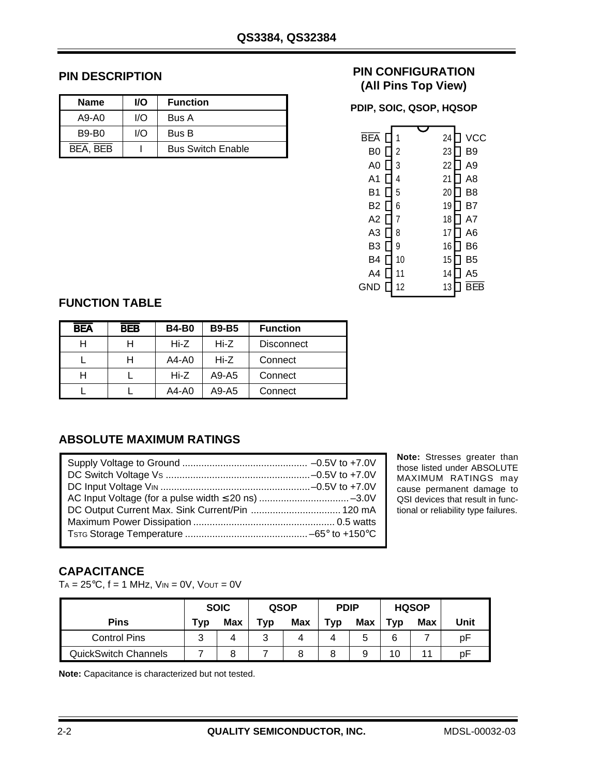## **PIN DESCRIPTION**

| <b>Name</b>  | <b>VO</b> | <b>Function</b>          |
|--------------|-----------|--------------------------|
| $A9-AO$      | I/O       | Bus A                    |
| <b>B9-B0</b> | I/O       | Bus B                    |
| BEA, BEB     |           | <b>Bus Switch Enable</b> |

## **PIN CONFIGURATION (All Pins Top View)**

**PDIP, SOIC, QSOP, HQSOP**

| BEA            |                | 24 | VCC            |
|----------------|----------------|----|----------------|
|                |                |    |                |
| B0             | $\overline{c}$ | 23 | B9             |
| A <sub>0</sub> | 3              | 22 | A <sub>9</sub> |
| A1             | 4              | 21 | A8             |
| B1             | 5              | 20 | B8             |
| B2             | 6              | 19 | B7             |
| A2             | 7              | 18 | A7             |
| A <sub>3</sub> | 8              | 17 | A6             |
| B3             | 9              | 16 | B6             |
| B4             | 10             | 15 | B5             |
| A4             | 11             | 14 | A <sub>5</sub> |
| GND            | 12             | 13 |                |
|                |                |    |                |

# **FUNCTION TABLE**

| <b>BEA</b> | <b>BEB</b> | <b>B4-B0</b> | <b>B9-B5</b> | <b>Function</b>   |
|------------|------------|--------------|--------------|-------------------|
| н          |            | Hi-Z         | Hi-Z         | <b>Disconnect</b> |
|            |            | $A4-A0$      | Hi-Z         | Connect           |
| Н          |            | Hi-Z         | A9-A5        | Connect           |
|            |            | A4-A0        | A9-A5        | Connect           |

## **ABSOLUTE MAXIMUM RATINGS**

| DC Output Current Max. Sink Current/Pin  120 mA |  |
|-------------------------------------------------|--|
|                                                 |  |
|                                                 |  |

**Note:** Stresses greater than those listed under ABSOLUTE MAXIMUM RATINGS may cause permanent damage to QSI devices that result in functional or reliability type failures.

# **CAPACITANCE**

 $TA = 25^{\circ}C$ ,  $f = 1$  MHz,  $V_{IN} = 0V$ ,  $V_{OUT} = 0V$ 

|                             | <b>SOIC</b> |  | <b>QSOP</b> |     | <b>PDIP</b> |     | <b>HQSOP</b> |     |      |  |
|-----------------------------|-------------|--|-------------|-----|-------------|-----|--------------|-----|------|--|
| <b>Pins</b>                 | Max<br>Typ  |  | Typ         | Max | <b>Typ</b>  | Max | Typ          | Max | Unit |  |
| <b>Control Pins</b>         | 3           |  | າ           | 4   |             |     |              |     | рF   |  |
| <b>QuickSwitch Channels</b> |             |  |             |     |             |     | 10           | 11  | рF   |  |

**Note:** Capacitance is characterized but not tested.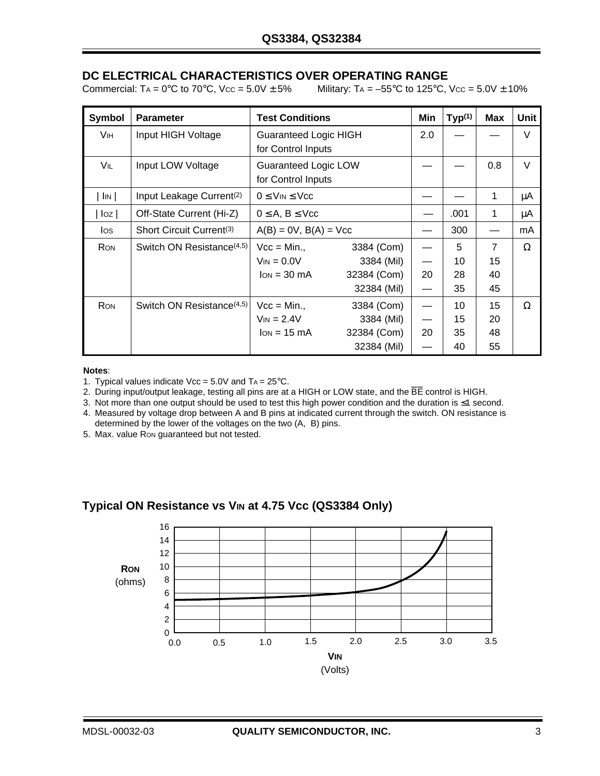# **DC ELECTRICAL CHARACTERISTICS OVER OPERATING RANGE**

Commercial: TA =  $0^{\circ}$ C to 70 $^{\circ}$ C, Vcc = 5.0V  $\pm$  5% Military: TA =  $-55^{\circ}$ C to 125 $^{\circ}$ C, Vcc = 5.0V  $\pm$  10%

| Symbol     | <b>Parameter</b>                      | <b>Test Conditions</b>                          |             | Min               | Typ <sup>(1)</sup> | <b>Max</b>     | Unit   |
|------------|---------------------------------------|-------------------------------------------------|-------------|-------------------|--------------------|----------------|--------|
| Vін        | Input HIGH Voltage                    | <b>Guaranteed Logic HIGH</b>                    |             |                   |                    |                | $\vee$ |
|            |                                       | for Control Inputs                              |             |                   |                    |                |        |
| VIL        | Input LOW Voltage                     | Guaranteed Logic LOW                            |             |                   |                    | 0.8            | $\vee$ |
|            |                                       | for Control Inputs                              |             |                   |                    |                |        |
| $\ln$      | Input Leakage Current <sup>(2)</sup>  | $0 \leq$ V <sub>IN</sub> $\leq$ V <sub>CC</sub> |             |                   | 1                  | μA             |        |
| log        | Off-State Current (Hi-Z)              | $0 \leq A, B \leq Vcc$                          |             | .001              | 1                  | μA             |        |
| los        | Short Circuit Current <sup>(3)</sup>  | $A(B) = 0V$ , $B(A) = Vcc$                      |             | 300               |                    | mA             |        |
| <b>RON</b> | Switch ON Resistance <sup>(4,5)</sup> | $Vec = Min.$                                    | 3384 (Com)  |                   | 5                  | $\overline{7}$ | Ω      |
|            |                                       | $V_{IN} = 0.0 V$                                | 3384 (Mil)  |                   | 10                 | 15             |        |
|            |                                       | $lon = 30 mA$                                   | 32384 (Com) | 20                | 28                 | 40             |        |
|            |                                       |                                                 | 32384 (Mil) | $\hspace{0.05cm}$ | 35                 | 45             |        |
| <b>RON</b> | Switch ON Resistance <sup>(4,5)</sup> | $Vec = Min.$                                    | 3384 (Com)  |                   | 10                 | 15             | Ω      |
|            |                                       | $V_{IN} = 2.4V$                                 | 3384 (Mil)  |                   | 15                 | 20             |        |
|            |                                       | $lon = 15 mA$                                   | 32384 (Com) | 20                | 35                 | 48             |        |
|            |                                       |                                                 | 32384 (Mil) |                   | 40                 | 55             |        |

#### **Notes**:

1. Typical values indicate  $\text{Vec} = 5.0\text{V}$  and  $\text{Ta} = 25\text{°C}$ .

2. During input/output leakage, testing all pins are at a HIGH or LOW state, and the BE control is HIGH.

3. Not more than one output should be used to test this high power condition and the duration is ≤1 second.

4. Measured by voltage drop between A and B pins at indicated current through the switch. ON resistance is

determined by the lower of the voltages on the two (A, B) pins.

5. Max. value RON guaranteed but not tested.



#### **Typical ON Resistance vs VIN at 4.75 Vcc (QS3384 Only)**